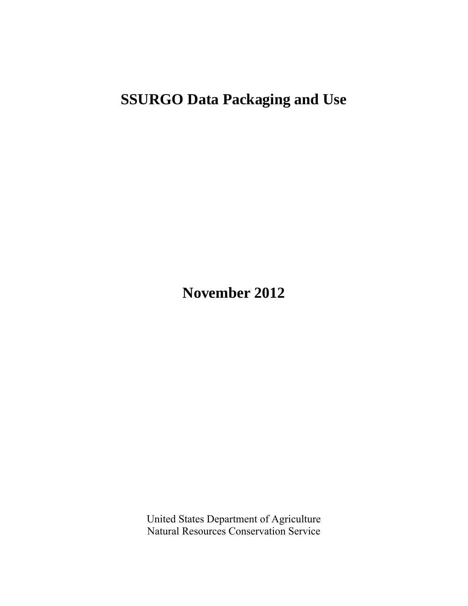# **SSURGO Data Packaging and Use**

**November 2012** 

United States Department of Agriculture Natural Resources Conservation Service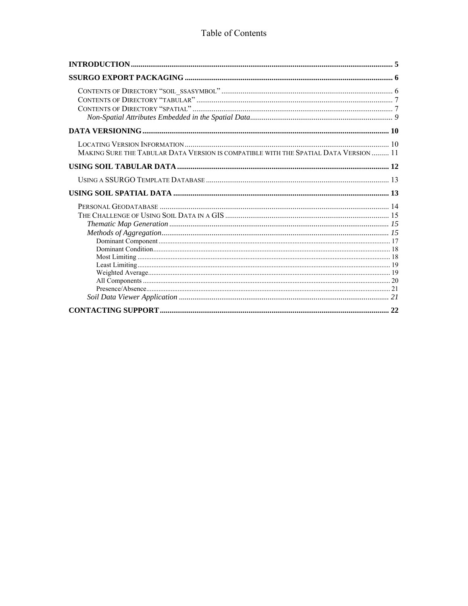#### Table of Contents

| MAKING SURE THE TABULAR DATA VERSION IS COMPATIBLE WITH THE SPATIAL DATA VERSION  11 |  |
|--------------------------------------------------------------------------------------|--|
|                                                                                      |  |
|                                                                                      |  |
|                                                                                      |  |
|                                                                                      |  |
|                                                                                      |  |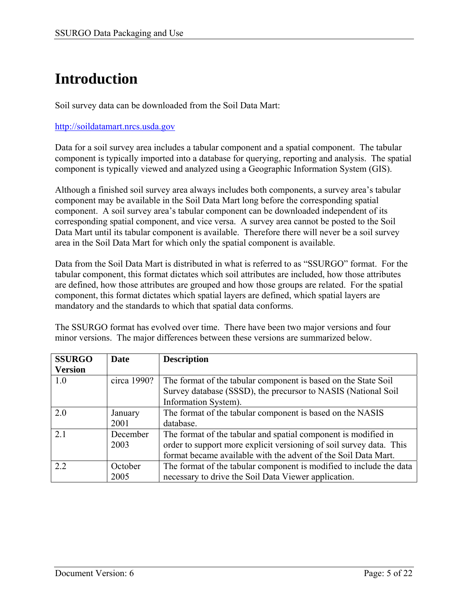# **Introduction**

Soil survey data can be downloaded from the Soil Data Mart:

#### http://soildatamart.nrcs.usda.gov

Data for a soil survey area includes a tabular component and a spatial component. The tabular component is typically imported into a database for querying, reporting and analysis. The spatial component is typically viewed and analyzed using a Geographic Information System (GIS).

Although a finished soil survey area always includes both components, a survey area's tabular component may be available in the Soil Data Mart long before the corresponding spatial component. A soil survey area's tabular component can be downloaded independent of its corresponding spatial component, and vice versa. A survey area cannot be posted to the Soil Data Mart until its tabular component is available. Therefore there will never be a soil survey area in the Soil Data Mart for which only the spatial component is available.

Data from the Soil Data Mart is distributed in what is referred to as "SSURGO" format. For the tabular component, this format dictates which soil attributes are included, how those attributes are defined, how those attributes are grouped and how those groups are related. For the spatial component, this format dictates which spatial layers are defined, which spatial layers are mandatory and the standards to which that spatial data conforms.

The SSURGO format has evolved over time. There have been two major versions and four minor versions. The major differences between these versions are summarized below.

| <b>SSURGO</b>  | <b>Date</b> | <b>Description</b>                                                  |
|----------------|-------------|---------------------------------------------------------------------|
| <b>Version</b> |             |                                                                     |
| 1.0            | circa 1990? | The format of the tabular component is based on the State Soil      |
|                |             | Survey database (SSSD), the precursor to NASIS (National Soil       |
|                |             | Information System).                                                |
| 2.0            | January     | The format of the tabular component is based on the NASIS           |
|                | 2001        | database.                                                           |
| 2.1            | December    | The format of the tabular and spatial component is modified in      |
|                | 2003        | order to support more explicit versioning of soil survey data. This |
|                |             | format became available with the advent of the Soil Data Mart.      |
| 22             | October     | The format of the tabular component is modified to include the data |
|                | 2005        | necessary to drive the Soil Data Viewer application.                |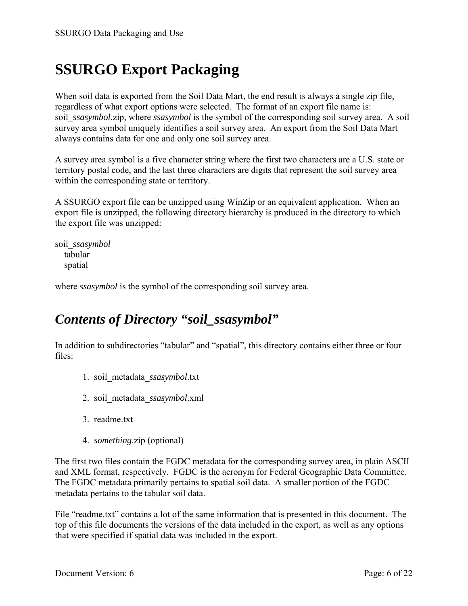# **SSURGO Export Packaging**

When soil data is exported from the Soil Data Mart, the end result is always a single zip file, regardless of what export options were selected. The format of an export file name is: soil *ssasymbol.zip*, where *ssasymbol* is the symbol of the corresponding soil survey area. A soil survey area symbol uniquely identifies a soil survey area. An export from the Soil Data Mart always contains data for one and only one soil survey area.

A survey area symbol is a five character string where the first two characters are a U.S. state or territory postal code, and the last three characters are digits that represent the soil survey area within the corresponding state or territory.

A SSURGO export file can be unzipped using WinZip or an equivalent application. When an export file is unzipped, the following directory hierarchy is produced in the directory to which the export file was unzipped:

soil\_*ssasymbol* tabular spatial

where *ssasymbol* is the symbol of the corresponding soil survey area.

### *Contents of Directory "soil\_ssasymbol"*

In addition to subdirectories "tabular" and "spatial", this directory contains either three or four files:

- 1. soil\_metadata\_*ssasymbol*.txt
- 2. soil\_metadata\_*ssasymbol*.xml
- 3. readme.txt
- 4. *something*.zip (optional)

The first two files contain the FGDC metadata for the corresponding survey area, in plain ASCII and XML format, respectively. FGDC is the acronym for Federal Geographic Data Committee. The FGDC metadata primarily pertains to spatial soil data. A smaller portion of the FGDC metadata pertains to the tabular soil data.

File "readme.txt" contains a lot of the same information that is presented in this document. The top of this file documents the versions of the data included in the export, as well as any options that were specified if spatial data was included in the export.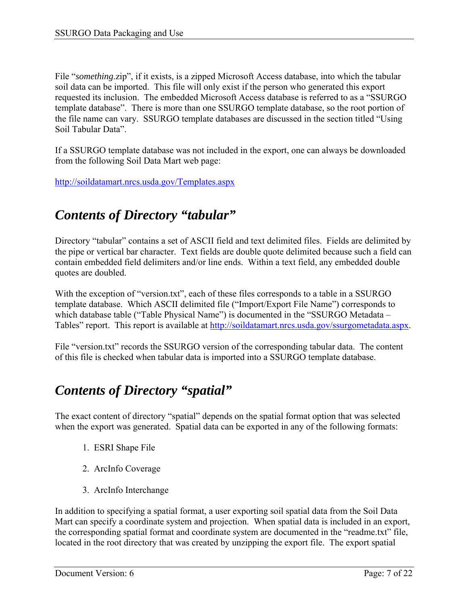File "*something*.zip", if it exists, is a zipped Microsoft Access database, into which the tabular soil data can be imported. This file will only exist if the person who generated this export requested its inclusion. The embedded Microsoft Access database is referred to as a "SSURGO template database". There is more than one SSURGO template database, so the root portion of the file name can vary. SSURGO template databases are discussed in the section titled "Using Soil Tabular Data".

If a SSURGO template database was not included in the export, one can always be downloaded from the following Soil Data Mart web page:

http://soildatamart.nrcs.usda.gov/Templates.aspx

## *Contents of Directory "tabular"*

Directory "tabular" contains a set of ASCII field and text delimited files. Fields are delimited by the pipe or vertical bar character. Text fields are double quote delimited because such a field can contain embedded field delimiters and/or line ends. Within a text field, any embedded double quotes are doubled.

With the exception of "version.txt", each of these files corresponds to a table in a SSURGO template database. Which ASCII delimited file ("Import/Export File Name") corresponds to which database table ("Table Physical Name") is documented in the "SSURGO Metadata -Tables" report. This report is available at http://soildatamart.nrcs.usda.gov/ssurgometadata.aspx.

File "version.txt" records the SSURGO version of the corresponding tabular data. The content of this file is checked when tabular data is imported into a SSURGO template database.

### *Contents of Directory "spatial"*

The exact content of directory "spatial" depends on the spatial format option that was selected when the export was generated. Spatial data can be exported in any of the following formats:

- 1. ESRI Shape File
- 2. ArcInfo Coverage
- 3. ArcInfo Interchange

In addition to specifying a spatial format, a user exporting soil spatial data from the Soil Data Mart can specify a coordinate system and projection. When spatial data is included in an export, the corresponding spatial format and coordinate system are documented in the "readme.txt" file, located in the root directory that was created by unzipping the export file. The export spatial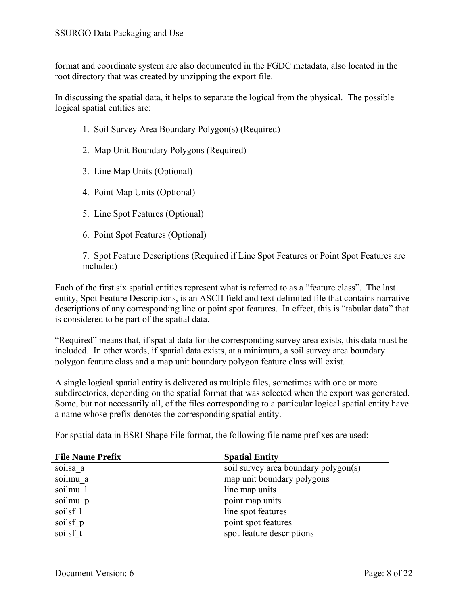format and coordinate system are also documented in the FGDC metadata, also located in the root directory that was created by unzipping the export file.

In discussing the spatial data, it helps to separate the logical from the physical. The possible logical spatial entities are:

- 1. Soil Survey Area Boundary Polygon(s) (Required)
- 2. Map Unit Boundary Polygons (Required)
- 3. Line Map Units (Optional)
- 4. Point Map Units (Optional)
- 5. Line Spot Features (Optional)
- 6. Point Spot Features (Optional)

7. Spot Feature Descriptions (Required if Line Spot Features or Point Spot Features are included)

Each of the first six spatial entities represent what is referred to as a "feature class". The last entity, Spot Feature Descriptions, is an ASCII field and text delimited file that contains narrative descriptions of any corresponding line or point spot features. In effect, this is "tabular data" that is considered to be part of the spatial data.

"Required" means that, if spatial data for the corresponding survey area exists, this data must be included. In other words, if spatial data exists, at a minimum, a soil survey area boundary polygon feature class and a map unit boundary polygon feature class will exist.

A single logical spatial entity is delivered as multiple files, sometimes with one or more subdirectories, depending on the spatial format that was selected when the export was generated. Some, but not necessarily all, of the files corresponding to a particular logical spatial entity have a name whose prefix denotes the corresponding spatial entity.

| <b>File Name Prefix</b> | <b>Spatial Entity</b>                |
|-------------------------|--------------------------------------|
| soilsa a                | soil survey area boundary polygon(s) |
| soilmu a                | map unit boundary polygons           |
| soilmu 1                | line map units                       |
| soilmu p                | point map units                      |
| soilsf 1                | line spot features                   |
| soilsf p                | point spot features                  |
| soilsf t                | spot feature descriptions            |

For spatial data in ESRI Shape File format, the following file name prefixes are used: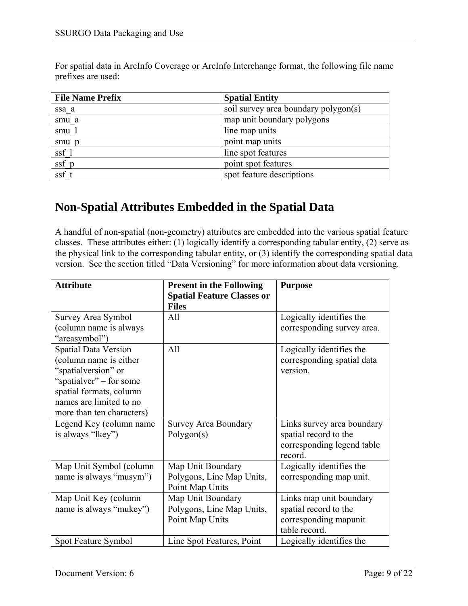For spatial data in ArcInfo Coverage or ArcInfo Interchange format, the following file name prefixes are used:

| <b>File Name Prefix</b>   | <b>Spatial Entity</b>                |
|---------------------------|--------------------------------------|
| ssa a                     | soil survey area boundary polygon(s) |
| smu a                     | map unit boundary polygons           |
| smu 1                     | line map units                       |
| smu p                     | point map units                      |
| $s$ sf $_1$               | line spot features                   |
| $\overline{\text{ssf}}$ p | point spot features                  |
| $s$ sf_t                  | spot feature descriptions            |

### **Non-Spatial Attributes Embedded in the Spatial Data**

A handful of non-spatial (non-geometry) attributes are embedded into the various spatial feature classes. These attributes either: (1) logically identify a corresponding tabular entity, (2) serve as the physical link to the corresponding tabular entity, or (3) identify the corresponding spatial data version. See the section titled "Data Versioning" for more information about data versioning.

| <b>Attribute</b>            | <b>Present in the Following</b>   | <b>Purpose</b>             |
|-----------------------------|-----------------------------------|----------------------------|
|                             | <b>Spatial Feature Classes or</b> |                            |
|                             | <b>Files</b>                      |                            |
| Survey Area Symbol          | All                               | Logically identifies the   |
| (column name is always      |                                   | corresponding survey area. |
| "areasymbol")               |                                   |                            |
| <b>Spatial Data Version</b> | All                               | Logically identifies the   |
| (column name is either      |                                   | corresponding spatial data |
| "spatialversion" or         |                                   | version.                   |
| "spatialver" – for some     |                                   |                            |
| spatial formats, column     |                                   |                            |
| names are limited to no     |                                   |                            |
| more than ten characters)   |                                   |                            |
| Legend Key (column name     | <b>Survey Area Boundary</b>       | Links survey area boundary |
| is always "lkey")           | Polygon(s)                        | spatial record to the      |
|                             |                                   | corresponding legend table |
|                             |                                   | record.                    |
| Map Unit Symbol (column     | Map Unit Boundary                 | Logically identifies the   |
| name is always "musym")     | Polygons, Line Map Units,         | corresponding map unit.    |
|                             | Point Map Units                   |                            |
| Map Unit Key (column        | Map Unit Boundary                 | Links map unit boundary    |
| name is always "mukey")     | Polygons, Line Map Units,         | spatial record to the      |
|                             | Point Map Units                   | corresponding mapunit      |
|                             |                                   | table record.              |
| Spot Feature Symbol         | Line Spot Features, Point         | Logically identifies the   |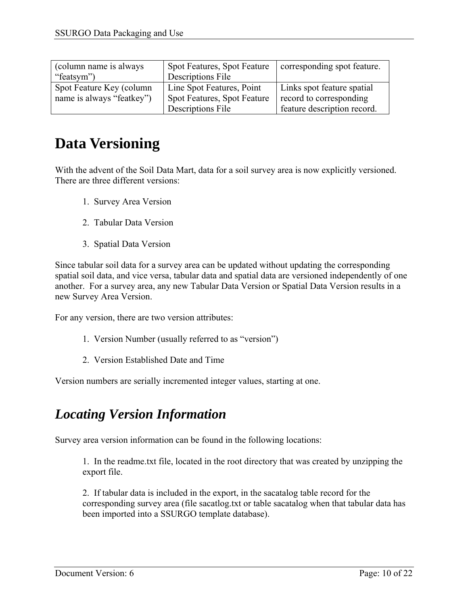| (column name is always)   | <b>Spot Features, Spot Feature</b> | corresponding spot feature. |
|---------------------------|------------------------------------|-----------------------------|
| "featsym")                | Descriptions File                  |                             |
| Spot Feature Key (column  | Line Spot Features, Point          | Links spot feature spatial  |
| name is always "featkey") | Spot Features, Spot Feature        | record to corresponding     |
|                           | Descriptions File                  | feature description record. |

## **Data Versioning**

With the advent of the Soil Data Mart, data for a soil survey area is now explicitly versioned. There are three different versions:

- 1. Survey Area Version
- 2. Tabular Data Version
- 3. Spatial Data Version

Since tabular soil data for a survey area can be updated without updating the corresponding spatial soil data, and vice versa, tabular data and spatial data are versioned independently of one another. For a survey area, any new Tabular Data Version or Spatial Data Version results in a new Survey Area Version.

For any version, there are two version attributes:

- 1. Version Number (usually referred to as "version")
- 2. Version Established Date and Time

Version numbers are serially incremented integer values, starting at one.

## *Locating Version Information*

Survey area version information can be found in the following locations:

1. In the readme.txt file, located in the root directory that was created by unzipping the export file.

2. If tabular data is included in the export, in the sacatalog table record for the corresponding survey area (file sacatlog.txt or table sacatalog when that tabular data has been imported into a SSURGO template database).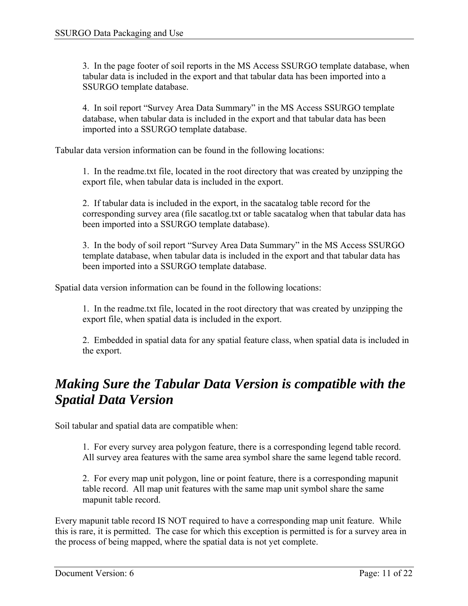3. In the page footer of soil reports in the MS Access SSURGO template database, when tabular data is included in the export and that tabular data has been imported into a SSURGO template database.

4. In soil report "Survey Area Data Summary" in the MS Access SSURGO template database, when tabular data is included in the export and that tabular data has been imported into a SSURGO template database.

Tabular data version information can be found in the following locations:

1. In the readme.txt file, located in the root directory that was created by unzipping the export file, when tabular data is included in the export.

2. If tabular data is included in the export, in the sacatalog table record for the corresponding survey area (file sacatlog.txt or table sacatalog when that tabular data has been imported into a SSURGO template database).

3. In the body of soil report "Survey Area Data Summary" in the MS Access SSURGO template database, when tabular data is included in the export and that tabular data has been imported into a SSURGO template database.

Spatial data version information can be found in the following locations:

1. In the readme.txt file, located in the root directory that was created by unzipping the export file, when spatial data is included in the export.

2. Embedded in spatial data for any spatial feature class, when spatial data is included in the export.

## *Making Sure the Tabular Data Version is compatible with the Spatial Data Version*

Soil tabular and spatial data are compatible when:

1. For every survey area polygon feature, there is a corresponding legend table record. All survey area features with the same area symbol share the same legend table record.

2. For every map unit polygon, line or point feature, there is a corresponding mapunit table record. All map unit features with the same map unit symbol share the same mapunit table record.

Every mapunit table record IS NOT required to have a corresponding map unit feature. While this is rare, it is permitted. The case for which this exception is permitted is for a survey area in the process of being mapped, where the spatial data is not yet complete.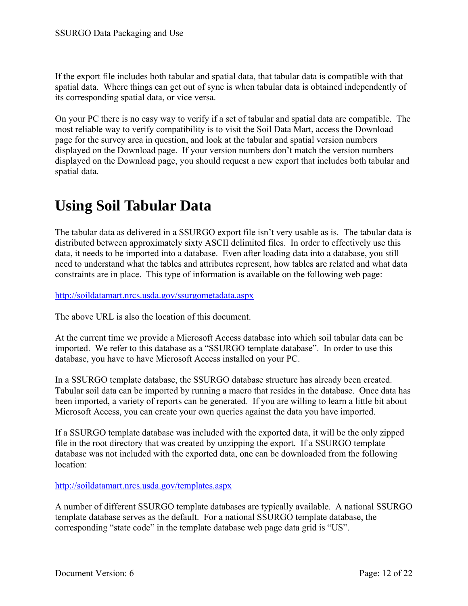If the export file includes both tabular and spatial data, that tabular data is compatible with that spatial data. Where things can get out of sync is when tabular data is obtained independently of its corresponding spatial data, or vice versa.

On your PC there is no easy way to verify if a set of tabular and spatial data are compatible. The most reliable way to verify compatibility is to visit the Soil Data Mart, access the Download page for the survey area in question, and look at the tabular and spatial version numbers displayed on the Download page. If your version numbers don't match the version numbers displayed on the Download page, you should request a new export that includes both tabular and spatial data.

## **Using Soil Tabular Data**

The tabular data as delivered in a SSURGO export file isn't very usable as is. The tabular data is distributed between approximately sixty ASCII delimited files. In order to effectively use this data, it needs to be imported into a database. Even after loading data into a database, you still need to understand what the tables and attributes represent, how tables are related and what data constraints are in place. This type of information is available on the following web page:

http://soildatamart.nrcs.usda.gov/ssurgometadata.aspx

The above URL is also the location of this document.

At the current time we provide a Microsoft Access database into which soil tabular data can be imported. We refer to this database as a "SSURGO template database". In order to use this database, you have to have Microsoft Access installed on your PC.

In a SSURGO template database, the SSURGO database structure has already been created. Tabular soil data can be imported by running a macro that resides in the database. Once data has been imported, a variety of reports can be generated. If you are willing to learn a little bit about Microsoft Access, you can create your own queries against the data you have imported.

If a SSURGO template database was included with the exported data, it will be the only zipped file in the root directory that was created by unzipping the export. If a SSURGO template database was not included with the exported data, one can be downloaded from the following location:

http://soildatamart.nrcs.usda.gov/templates.aspx

A number of different SSURGO template databases are typically available. A national SSURGO template database serves as the default. For a national SSURGO template database, the corresponding "state code" in the template database web page data grid is "US".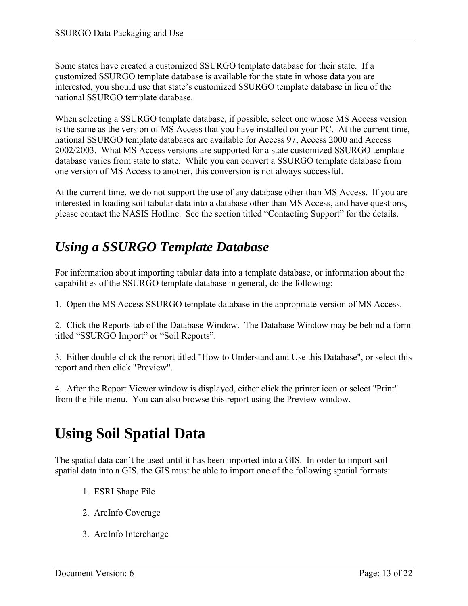Some states have created a customized SSURGO template database for their state. If a customized SSURGO template database is available for the state in whose data you are interested, you should use that state's customized SSURGO template database in lieu of the national SSURGO template database.

When selecting a SSURGO template database, if possible, select one whose MS Access version is the same as the version of MS Access that you have installed on your PC. At the current time, national SSURGO template databases are available for Access 97, Access 2000 and Access 2002/2003. What MS Access versions are supported for a state customized SSURGO template database varies from state to state. While you can convert a SSURGO template database from one version of MS Access to another, this conversion is not always successful.

At the current time, we do not support the use of any database other than MS Access. If you are interested in loading soil tabular data into a database other than MS Access, and have questions, please contact the NASIS Hotline. See the section titled "Contacting Support" for the details.

### *Using a SSURGO Template Database*

For information about importing tabular data into a template database, or information about the capabilities of the SSURGO template database in general, do the following:

1. Open the MS Access SSURGO template database in the appropriate version of MS Access.

2. Click the Reports tab of the Database Window. The Database Window may be behind a form titled "SSURGO Import" or "Soil Reports".

3. Either double-click the report titled "How to Understand and Use this Database", or select this report and then click "Preview".

4. After the Report Viewer window is displayed, either click the printer icon or select "Print" from the File menu. You can also browse this report using the Preview window.

# **Using Soil Spatial Data**

The spatial data can't be used until it has been imported into a GIS. In order to import soil spatial data into a GIS, the GIS must be able to import one of the following spatial formats:

- 1. ESRI Shape File
- 2. ArcInfo Coverage
- 3. ArcInfo Interchange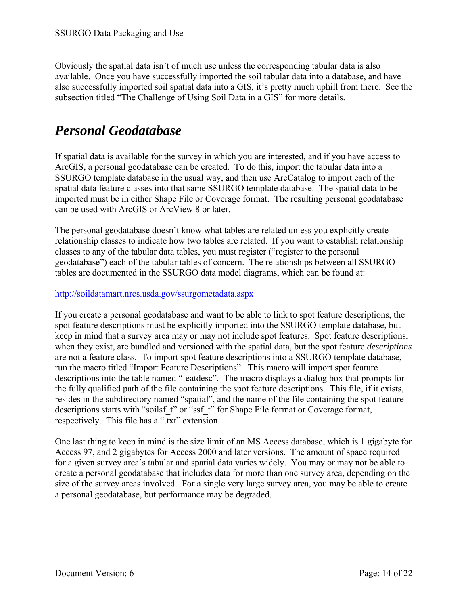Obviously the spatial data isn't of much use unless the corresponding tabular data is also available. Once you have successfully imported the soil tabular data into a database, and have also successfully imported soil spatial data into a GIS, it's pretty much uphill from there. See the subsection titled "The Challenge of Using Soil Data in a GIS" for more details.

## *Personal Geodatabase*

If spatial data is available for the survey in which you are interested, and if you have access to ArcGIS, a personal geodatabase can be created. To do this, import the tabular data into a SSURGO template database in the usual way, and then use ArcCatalog to import each of the spatial data feature classes into that same SSURGO template database. The spatial data to be imported must be in either Shape File or Coverage format. The resulting personal geodatabase can be used with ArcGIS or ArcView 8 or later.

The personal geodatabase doesn't know what tables are related unless you explicitly create relationship classes to indicate how two tables are related. If you want to establish relationship classes to any of the tabular data tables, you must register ("register to the personal geodatabase") each of the tabular tables of concern. The relationships between all SSURGO tables are documented in the SSURGO data model diagrams, which can be found at:

#### http://soildatamart.nrcs.usda.gov/ssurgometadata.aspx

If you create a personal geodatabase and want to be able to link to spot feature descriptions, the spot feature descriptions must be explicitly imported into the SSURGO template database, but keep in mind that a survey area may or may not include spot features. Spot feature descriptions, when they exist, are bundled and versioned with the spatial data, but the spot feature *descriptions* are not a feature class. To import spot feature descriptions into a SSURGO template database, run the macro titled "Import Feature Descriptions". This macro will import spot feature descriptions into the table named "featdesc". The macro displays a dialog box that prompts for the fully qualified path of the file containing the spot feature descriptions. This file, if it exists, resides in the subdirectory named "spatial", and the name of the file containing the spot feature descriptions starts with "soilsf t" or "ssf t" for Shape File format or Coverage format, respectively. This file has a ".txt" extension.

One last thing to keep in mind is the size limit of an MS Access database, which is 1 gigabyte for Access 97, and 2 gigabytes for Access 2000 and later versions. The amount of space required for a given survey area's tabular and spatial data varies widely. You may or may not be able to create a personal geodatabase that includes data for more than one survey area, depending on the size of the survey areas involved. For a single very large survey area, you may be able to create a personal geodatabase, but performance may be degraded.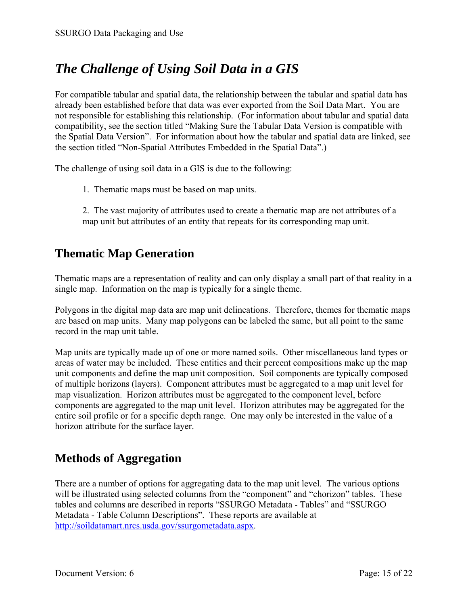## *The Challenge of Using Soil Data in a GIS*

For compatible tabular and spatial data, the relationship between the tabular and spatial data has already been established before that data was ever exported from the Soil Data Mart. You are not responsible for establishing this relationship. (For information about tabular and spatial data compatibility, see the section titled "Making Sure the Tabular Data Version is compatible with the Spatial Data Version". For information about how the tabular and spatial data are linked, see the section titled "Non-Spatial Attributes Embedded in the Spatial Data".)

The challenge of using soil data in a GIS is due to the following:

1. Thematic maps must be based on map units.

2. The vast majority of attributes used to create a thematic map are not attributes of a map unit but attributes of an entity that repeats for its corresponding map unit.

### **Thematic Map Generation**

Thematic maps are a representation of reality and can only display a small part of that reality in a single map. Information on the map is typically for a single theme.

Polygons in the digital map data are map unit delineations. Therefore, themes for thematic maps are based on map units. Many map polygons can be labeled the same, but all point to the same record in the map unit table.

Map units are typically made up of one or more named soils. Other miscellaneous land types or areas of water may be included. These entities and their percent compositions make up the map unit components and define the map unit composition. Soil components are typically composed of multiple horizons (layers). Component attributes must be aggregated to a map unit level for map visualization. Horizon attributes must be aggregated to the component level, before components are aggregated to the map unit level. Horizon attributes may be aggregated for the entire soil profile or for a specific depth range. One may only be interested in the value of a horizon attribute for the surface layer.

### **Methods of Aggregation**

There are a number of options for aggregating data to the map unit level. The various options will be illustrated using selected columns from the "component" and "chorizon" tables. These tables and columns are described in reports "SSURGO Metadata - Tables" and "SSURGO Metadata - Table Column Descriptions". These reports are available at http://soildatamart.nrcs.usda.gov/ssurgometadata.aspx.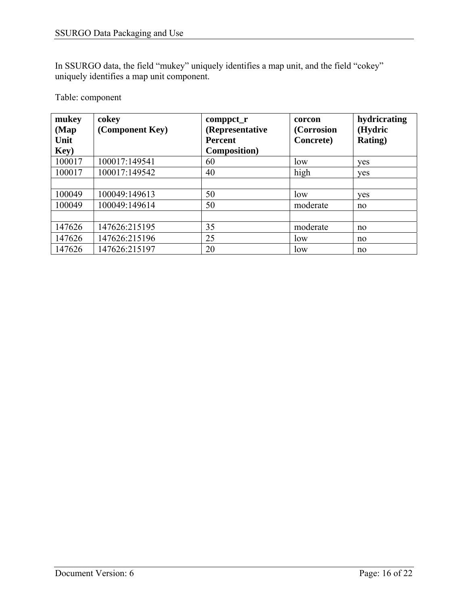In SSURGO data, the field "mukey" uniquely identifies a map unit, and the field "cokey" uniquely identifies a map unit component.

#### Table: component

| mukey  | cokey           | comppct_r            | corcon     | hydricrating    |
|--------|-----------------|----------------------|------------|-----------------|
| (Map)  | (Component Key) | (Representative      | (Corrosion | (Hydric         |
| Unit   |                 | <b>Percent</b>       | Concrete)  | <b>Rating</b> ) |
| Key)   |                 | <b>Composition</b> ) |            |                 |
| 100017 | 100017:149541   | 60                   | low        | yes             |
| 100017 | 100017:149542   | 40                   | high       | <b>ves</b>      |
|        |                 |                      |            |                 |
| 100049 | 100049:149613   | 50                   | low        | yes             |
| 100049 | 100049:149614   | 50                   | moderate   | no              |
|        |                 |                      |            |                 |
| 147626 | 147626:215195   | 35                   | moderate   | no              |
| 147626 | 147626:215196   | 25                   | low        | no              |
| 147626 | 147626:215197   | 20                   | low        | no              |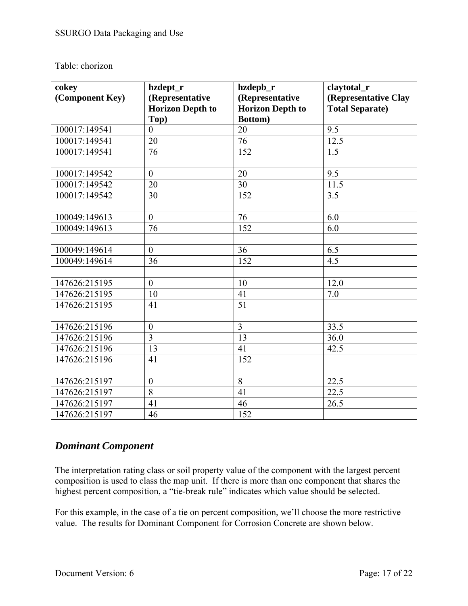#### Table: chorizon

| cokey           | hzdept_r                | hzdepb_r                | claytotal_r            |
|-----------------|-------------------------|-------------------------|------------------------|
| (Component Key) | (Representative         | (Representative         | (Representative Clay   |
|                 | <b>Horizon Depth to</b> | <b>Horizon Depth to</b> | <b>Total Separate)</b> |
|                 | Top)                    | <b>Bottom</b> )         |                        |
| 100017:149541   | $\overline{0}$          | 20                      | 9.5                    |
| 100017:149541   | 20                      | $\overline{76}$         | 12.5                   |
| 100017:149541   | 76                      | 152                     | 1.5                    |
|                 |                         |                         |                        |
| 100017:149542   | $\overline{0}$          | 20                      | 9.5                    |
| 100017:149542   | 20                      | 30                      | 11.5                   |
| 100017:149542   | 30                      | 152                     | 3.5                    |
|                 |                         |                         |                        |
| 100049:149613   | $\mathbf{0}$            | 76                      | 6.0                    |
| 100049:149613   | 76                      | 152                     | 6.0                    |
|                 |                         |                         |                        |
| 100049:149614   | $\overline{0}$          | 36                      | 6.5                    |
| 100049:149614   | 36                      | 152                     | $\overline{4.5}$       |
|                 |                         |                         |                        |
| 147626:215195   | $\overline{0}$          | 10                      | 12.0                   |
| 147626:215195   | 10                      | 41                      | 7.0                    |
| 147626:215195   | 41                      | 51                      |                        |
|                 |                         |                         |                        |
| 147626:215196   | $\boldsymbol{0}$        | $\overline{3}$          | 33.5                   |
| 147626:215196   | $\overline{3}$          | 13                      | 36.0                   |
| 147626:215196   | 13                      | 41                      | 42.5                   |
| 147626:215196   | 41                      | 152                     |                        |
|                 |                         |                         |                        |
| 147626:215197   | $\boldsymbol{0}$        | 8                       | 22.5                   |
| 147626:215197   | 8                       | 41                      | 22.5                   |
| 147626:215197   | 41                      | 46                      | 26.5                   |
| 147626:215197   | 46                      | 152                     |                        |

### *Dominant Component*

The interpretation rating class or soil property value of the component with the largest percent composition is used to class the map unit. If there is more than one component that shares the highest percent composition, a "tie-break rule" indicates which value should be selected.

For this example, in the case of a tie on percent composition, we'll choose the more restrictive value. The results for Dominant Component for Corrosion Concrete are shown below.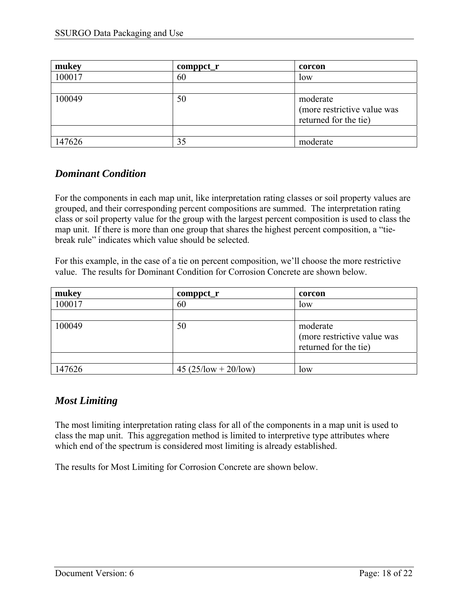| mukey  | $component_r$ | corcon                      |
|--------|---------------|-----------------------------|
| 100017 | 60            | low                         |
|        |               |                             |
| 100049 | 50            | moderate                    |
|        |               | (more restrictive value was |
|        |               | returned for the tie)       |
|        |               |                             |
| 147626 | 35            | moderate                    |

### *Dominant Condition*

For the components in each map unit, like interpretation rating classes or soil property values are grouped, and their corresponding percent compositions are summed. The interpretation rating class or soil property value for the group with the largest percent composition is used to class the map unit. If there is more than one group that shares the highest percent composition, a "tiebreak rule" indicates which value should be selected.

For this example, in the case of a tie on percent composition, we'll choose the more restrictive value. The results for Dominant Condition for Corrosion Concrete are shown below.

| mukey  | $component_r$          | corcon                      |
|--------|------------------------|-----------------------------|
| 100017 | 60                     | low                         |
|        |                        |                             |
| 100049 | 50                     | moderate                    |
|        |                        | (more restrictive value was |
|        |                        | returned for the tie)       |
|        |                        |                             |
| 147626 | $45 (25/low + 20/low)$ | low                         |

### *Most Limiting*

The most limiting interpretation rating class for all of the components in a map unit is used to class the map unit. This aggregation method is limited to interpretive type attributes where which end of the spectrum is considered most limiting is already established.

The results for Most Limiting for Corrosion Concrete are shown below.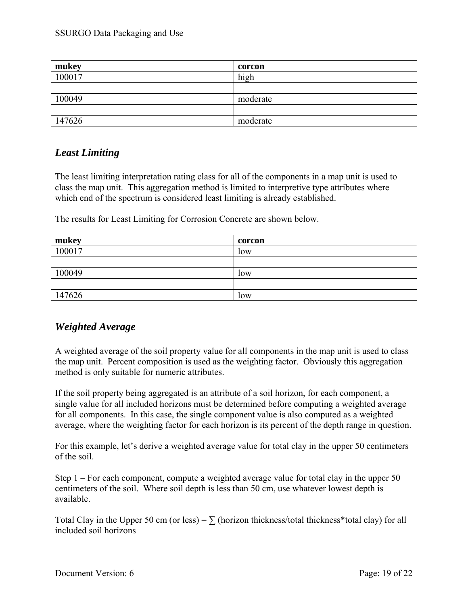| mukey  | corcon   |
|--------|----------|
| 100017 | high     |
|        |          |
| 100049 | moderate |
|        |          |
| 147626 | moderate |

### *Least Limiting*

The least limiting interpretation rating class for all of the components in a map unit is used to class the map unit. This aggregation method is limited to interpretive type attributes where which end of the spectrum is considered least limiting is already established.

The results for Least Limiting for Corrosion Concrete are shown below.

| mukey  | corcon |
|--------|--------|
| 100017 | low    |
|        |        |
| 100049 | low    |
|        |        |
| 147626 | low    |

### *Weighted Average*

A weighted average of the soil property value for all components in the map unit is used to class the map unit. Percent composition is used as the weighting factor. Obviously this aggregation method is only suitable for numeric attributes.

If the soil property being aggregated is an attribute of a soil horizon, for each component, a single value for all included horizons must be determined before computing a weighted average for all components. In this case, the single component value is also computed as a weighted average, where the weighting factor for each horizon is its percent of the depth range in question.

For this example, let's derive a weighted average value for total clay in the upper 50 centimeters of the soil.

Step 1 – For each component, compute a weighted average value for total clay in the upper 50 centimeters of the soil. Where soil depth is less than 50 cm, use whatever lowest depth is available.

Total Clay in the Upper 50 cm (or less) =  $\Sigma$  (horizon thickness/total thickness\*total clay) for all included soil horizons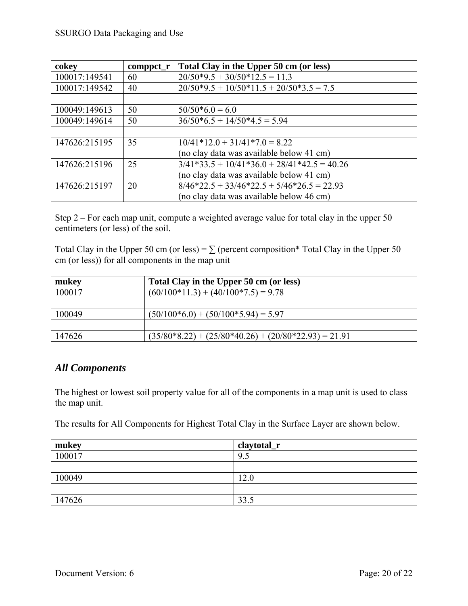| cokey         | $component_r$ | Total Clay in the Upper 50 cm (or less)      |
|---------------|---------------|----------------------------------------------|
| 100017:149541 | 60            | $20/50*9.5 + 30/50*12.5 = 11.3$              |
| 100017:149542 | 40            | $20/50*9.5 + 10/50*11.5 + 20/50*3.5 = 7.5$   |
|               |               |                                              |
| 100049:149613 | 50            | $50/50*6.0 = 6.0$                            |
| 100049:149614 | 50            | $36/50*6.5 + 14/50*4.5 = 5.94$               |
|               |               |                                              |
| 147626:215195 | 35            | $10/41*12.0+31/41*7.0=8.22$                  |
|               |               | (no clay data was available below 41 cm)     |
| 147626:215196 | 25            | $3/41*33.5+10/41*36.0+28/41*42.5=40.26$      |
|               |               | (no clay data was available below 41 cm)     |
| 147626:215197 | 20            | $8/46*22.5 + 33/46*22.5 + 5/46*26.5 = 22.93$ |
|               |               | (no clay data was available below 46 cm)     |

Step 2 – For each map unit, compute a weighted average value for total clay in the upper 50 centimeters (or less) of the soil.

Total Clay in the Upper 50 cm (or less) =  $\Sigma$  (percent composition\* Total Clay in the Upper 50 cm (or less)) for all components in the map unit

| mukey  | Total Clay in the Upper 50 cm (or less)                |
|--------|--------------------------------------------------------|
| 100017 | $(60/100*11.3) + (40/100*7.5) = 9.78$                  |
|        |                                                        |
| 100049 | $(50/100*6.0) + (50/100*5.94) = 5.97$                  |
|        |                                                        |
| 147626 | $(35/80*8.22) + (25/80*40.26) + (20/80*22.93) = 21.91$ |

### *All Components*

The highest or lowest soil property value for all of the components in a map unit is used to class the map unit.

The results for All Components for Highest Total Clay in the Surface Layer are shown below.

| mukey  | claytotal_r |
|--------|-------------|
| 100017 | 9.5         |
|        |             |
| 100049 | 12.0        |
|        |             |
| 147626 | 33.5        |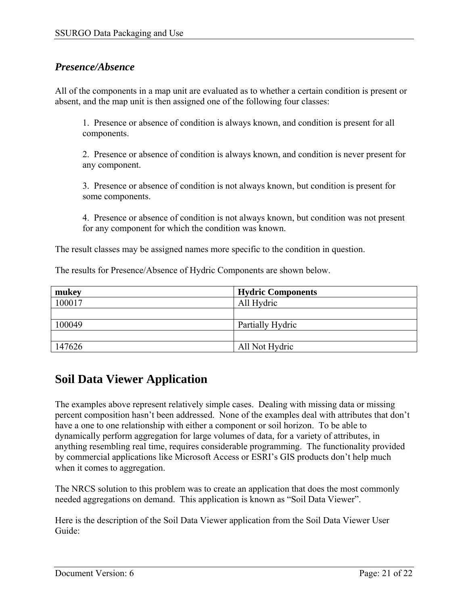#### *Presence/Absence*

All of the components in a map unit are evaluated as to whether a certain condition is present or absent, and the map unit is then assigned one of the following four classes:

1. Presence or absence of condition is always known, and condition is present for all components.

2. Presence or absence of condition is always known, and condition is never present for any component.

3. Presence or absence of condition is not always known, but condition is present for some components.

4. Presence or absence of condition is not always known, but condition was not present for any component for which the condition was known.

The result classes may be assigned names more specific to the condition in question.

The results for Presence/Absence of Hydric Components are shown below.

| mukey  | <b>Hydric Components</b> |
|--------|--------------------------|
| 100017 | All Hydric               |
|        |                          |
| 100049 | Partially Hydric         |
|        |                          |
| 147626 | All Not Hydric           |

### **Soil Data Viewer Application**

The examples above represent relatively simple cases. Dealing with missing data or missing percent composition hasn't been addressed. None of the examples deal with attributes that don't have a one to one relationship with either a component or soil horizon. To be able to dynamically perform aggregation for large volumes of data, for a variety of attributes, in anything resembling real time, requires considerable programming. The functionality provided by commercial applications like Microsoft Access or ESRI's GIS products don't help much when it comes to aggregation.

The NRCS solution to this problem was to create an application that does the most commonly needed aggregations on demand. This application is known as "Soil Data Viewer".

Here is the description of the Soil Data Viewer application from the Soil Data Viewer User Guide: